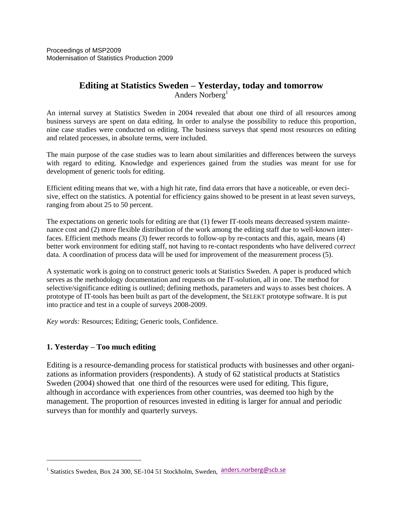Proceedings of MSP2009 Modernisation of Statistics Production 2009

## **Editing at Statistics Sweden – Yesterday, today and tomorrow**  Anders Norberg<sup>1</sup>

An internal survey at Statistics Sweden in 2004 revealed that about one third of all resources among business surveys are spent on data editing. In order to analyse the possibility to reduce this proportion, nine case studies were conducted on editing. The business surveys that spend most resources on editing and related processes, in absolute terms, were included.

The main purpose of the case studies was to learn about similarities and differences between the surveys with regard to editing. Knowledge and experiences gained from the studies was meant for use for development of generic tools for editing.

Efficient editing means that we, with a high hit rate, find data errors that have a noticeable, or even decisive, effect on the statistics. A potential for efficiency gains showed to be present in at least seven surveys, ranging from about 25 to 50 percent.

The expectations on generic tools for editing are that (1) fewer IT-tools means decreased system maintenance cost and (2) more flexible distribution of the work among the editing staff due to well-known interfaces. Efficient methods means (3) fewer records to follow-up by re-contacts and this, again, means (4) better work environment for editing staff, not having to re-contact respondents who have delivered *correct* data. A coordination of process data will be used for improvement of the measurement process (5).

A systematic work is going on to construct generic tools at Statistics Sweden. A paper is produced which serves as the methodology documentation and requests on the IT-solution, all in one. The method for selective/significance editing is outlined; defining methods, parameters and ways to asses best choices. A prototype of IT-tools has been built as part of the development, the SELEKT prototype software. It is put into practice and test in a couple of surveys 2008-2009.

*Key words:* Resources; Editing; Generic tools, Confidence.

## **1. Yesterday – Too much editing**

 $\overline{a}$ 

Editing is a resource-demanding process for statistical products with businesses and other organizations as information providers (respondents). A study of 62 statistical products at Statistics Sweden (2004) showed that one third of the resources were used for editing. This figure, although in accordance with experiences from other countries, was deemed too high by the management. The proportion of resources invested in editing is larger for annual and periodic surveys than for monthly and quarterly surveys.

<sup>&</sup>lt;sup>1</sup> Statistics Sweden, Box 24 300, SE-104 51 Stockholm, Sweden, anders.norberg@scb.se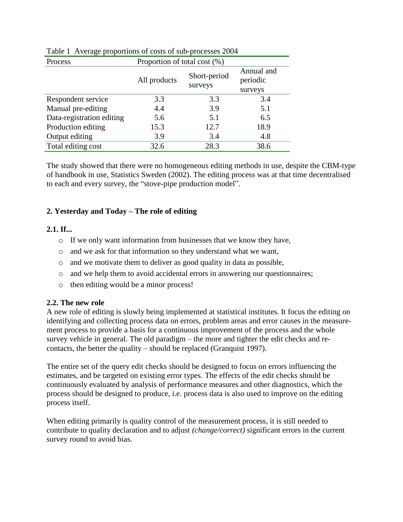| Process                   | Proportion of total cost (%) |                         |                                   |
|---------------------------|------------------------------|-------------------------|-----------------------------------|
|                           | All products                 | Short-period<br>surveys | Annual and<br>periodic<br>surveys |
| Respondent service        | 3.3                          | 3.3                     | 3.4                               |
| Manual pre-editing        | 4.4                          | 3.9                     | 5.1                               |
| Data-registration editing | 5.6                          | 5.1                     | 6.5                               |
| Production editing        | 15.3                         | 12.7                    | 18.9                              |
| Output editing            | 3.9                          | 3.4                     | 4.8                               |
| Total editing cost        | 32.6                         | 28.3                    | 38.6                              |

### Table 1 Average proportions of costs of sub-processes 2004

The study showed that there were no homogeneous editing methods in use, despite the CBM-type of handbook in use, Statistics Sweden (2002). The editing process was at that time decentralised to each and every survey, the "stove-pipe production model".

## **2. Yesterday and Today – The role of editing**

### **2.1. If...**

- o If we only want information from businesses that we know they have,
- o and we ask for that information so they understand what we want,
- o and we motivate them to deliver as good quality in data as possible,
- o and we help them to avoid accidental errors in answering our questionnaires;
- o then editing would be a minor process!

#### **2.2. The new role**

A new role of editing is slowly being implemented at statistical institutes. It focus the editing on identifying and collecting process data on errors, problem areas and error causes in the measurement process to provide a basis for a continuous improvement of the process and the whole survey vehicle in general. The old paradigm – the more and tighter the edit checks and recontacts, the better the quality – should be replaced (Granquist 1997).

The entire set of the query edit checks should be designed to focus on errors influencing the estimates, and be targeted on existing error types. The effects of the edit checks should be continuously evaluated by analysis of performance measures and other diagnostics, which the process should be designed to produce, i.e. process data is also used to improve on the editing process itself.

When editing primarily is quality control of the measurement process, it is still needed to contribute to quality declaration and to adjust *(change/correct)* significant errors in the current survey round to avoid bias.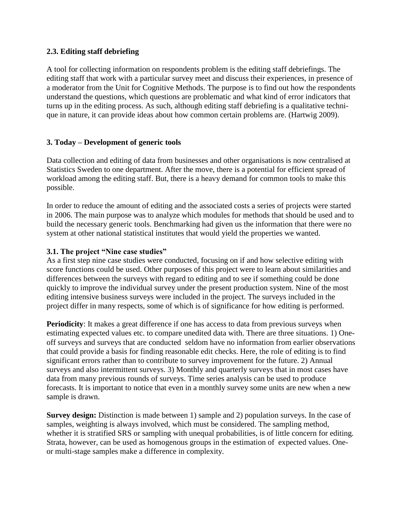## **2.3. Editing staff debriefing**

A tool for collecting information on respondents problem is the editing staff debriefings. The editing staff that work with a particular survey meet and discuss their experiences, in presence of a moderator from the Unit for Cognitive Methods. The purpose is to find out how the respondents understand the questions, which questions are problematic and what kind of error indicators that turns up in the editing process. As such, although editing staff debriefing is a qualitative technique in nature, it can provide ideas about how common certain problems are. (Hartwig 2009).

### **3. Today – Development of generic tools**

Data collection and editing of data from businesses and other organisations is now centralised at Statistics Sweden to one department. After the move, there is a potential for efficient spread of workload among the editing staff. But, there is a heavy demand for common tools to make this possible.

In order to reduce the amount of editing and the associated costs a series of projects were started in 2006. The main purpose was to analyze which modules for methods that should be used and to build the necessary generic tools. Benchmarking had given us the information that there were no system at other national statistical institutes that would yield the properties we wanted.

### **3.1. The project "Nine case studies"**

As a first step nine case studies were conducted, focusing on if and how selective editing with score functions could be used. Other purposes of this project were to learn about similarities and differences between the surveys with regard to editing and to see if something could be done quickly to improve the individual survey under the present production system. Nine of the most editing intensive business surveys were included in the project. The surveys included in the project differ in many respects, some of which is of significance for how editing is performed.

**Periodicity**: It makes a great difference if one has access to data from previous surveys when estimating expected values etc. to compare unedited data with. There are three situations. 1) Oneoff surveys and surveys that are conducted seldom have no information from earlier observations that could provide a basis for finding reasonable edit checks. Here, the role of editing is to find significant errors rather than to contribute to survey improvement for the future. 2) Annual surveys and also intermittent surveys. 3) Monthly and quarterly surveys that in most cases have data from many previous rounds of surveys. Time series analysis can be used to produce forecasts. It is important to notice that even in a monthly survey some units are new when a new sample is drawn.

**Survey design:** Distinction is made between 1) sample and 2) population surveys. In the case of samples, weighting is always involved, which must be considered. The sampling method, whether it is stratified SRS or sampling with unequal probabilities, is of little concern for editing. Strata, however, can be used as homogenous groups in the estimation of expected values. Oneor multi-stage samples make a difference in complexity.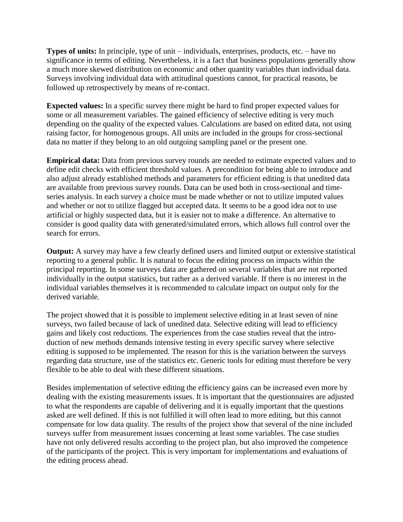**Types of units:** In principle, type of unit – individuals, enterprises, products, etc. – have no significance in terms of editing. Nevertheless, it is a fact that business populations generally show a much more skewed distribution on economic and other quantity variables than individual data. Surveys involving individual data with attitudinal questions cannot, for practical reasons, be followed up retrospectively by means of re-contact.

**Expected values:** In a specific survey there might be hard to find proper expected values for some or all measurement variables. The gained efficiency of selective editing is very much depending on the quality of the expected values. Calculations are based on edited data, not using raising factor, for homogenous groups. All units are included in the groups for cross-sectional data no matter if they belong to an old outgoing sampling panel or the present one.

**Empirical data:** Data from previous survey rounds are needed to estimate expected values and to define edit checks with efficient threshold values. A precondition for being able to introduce and also adjust already established methods and parameters for efficient editing is that unedited data are available from previous survey rounds. Data can be used both in cross-sectional and timeseries analysis. In each survey a choice must be made whether or not to utilize imputed values and whether or not to utilize flagged but accepted data. It seems to be a good idea not to use artificial or highly suspected data, but it is easier not to make a difference. An alternative to consider is good quality data with generated/simulated errors, which allows full control over the search for errors.

**Output:** A survey may have a few clearly defined users and limited output or extensive statistical reporting to a general public. It is natural to focus the editing process on impacts within the principal reporting. In some surveys data are gathered on several variables that are not reported individually in the output statistics, but rather as a derived variable. If there is no interest in the individual variables themselves it is recommended to calculate impact on output only for the derived variable.

The project showed that it is possible to implement selective editing in at least seven of nine surveys, two failed because of lack of unedited data. Selective editing will lead to efficiency gains and likely cost reductions. The experiences from the case studies reveal that the introduction of new methods demands intensive testing in every specific survey where selective editing is supposed to be implemented. The reason for this is the variation between the surveys regarding data structure, use of the statistics etc. Generic tools for editing must therefore be very flexible to be able to deal with these different situations.

Besides implementation of selective editing the efficiency gains can be increased even more by dealing with the existing measurements issues. It is important that the questionnaires are adjusted to what the respondents are capable of delivering and it is equally important that the questions asked are well defined. If this is not fulfilled it will often lead to more editing, but this cannot compensate for low data quality. The results of the project show that several of the nine included surveys suffer from measurement issues concerning at least some variables. The case studies have not only delivered results according to the project plan, but also improved the competence of the participants of the project. This is very important for implementations and evaluations of the editing process ahead.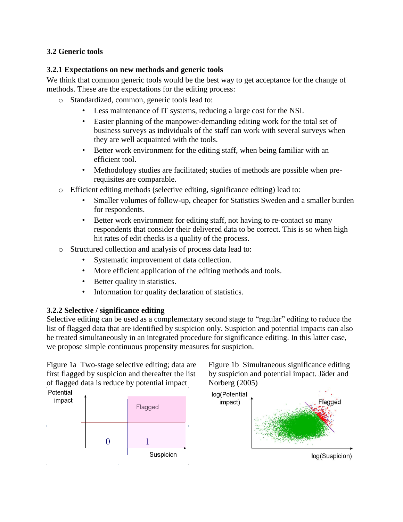## **3.2 Generic tools**

## **3.2.1 Expectations on new methods and generic tools**

We think that common generic tools would be the best way to get acceptance for the change of methods. These are the expectations for the editing process:

- o Standardized, common, generic tools lead to:
	- Less maintenance of IT systems, reducing a large cost for the NSI.
	- Easier planning of the manpower-demanding editing work for the total set of business surveys as individuals of the staff can work with several surveys when they are well acquainted with the tools.
	- Better work environment for the editing staff, when being familiar with an efficient tool.
	- Methodology studies are facilitated; studies of methods are possible when prerequisites are comparable.
- o Efficient editing methods (selective editing, significance editing) lead to:
	- Smaller volumes of follow-up, cheaper for Statistics Sweden and a smaller burden for respondents.
	- Better work environment for editing staff, not having to re-contact so many respondents that consider their delivered data to be correct. This is so when high hit rates of edit checks is a quality of the process.
- o Structured collection and analysis of process data lead to:
	- Systematic improvement of data collection.
	- More efficient application of the editing methods and tools.
	- Better quality in statistics.
	- Information for quality declaration of statistics.

## **3.2.2 Selective / significance editing**

Selective editing can be used as a complementary second stage to "regular" editing to reduce the list of flagged data that are identified by suspicion only. Suspicion and potential impacts can also be treated simultaneously in an integrated procedure for significance editing. In this latter case, we propose simple continuous propensity measures for suspicion.

Figure 1a Two-stage selective editing; data are first flagged by suspicion and thereafter the list of flagged data is reduce by potential impact Potential





Figure 1b Simultaneous significance editing by suspicion and potential impact. Jäder and Norberg (2005)

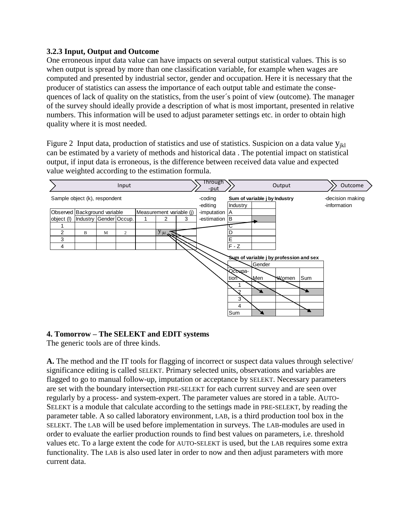## **3.2.3 Input, Output and Outcome**

One erroneous input data value can have impacts on several output statistical values. This is so when output is spread by more than one classification variable, for example when wages are computed and presented by industrial sector, gender and occupation. Here it is necessary that the producer of statistics can assess the importance of each output table and estimate the consequences of lack of quality on the statistics, from the user´s point of view (outcome). The manager of the survey should ideally provide a description of what is most important, presented in relative numbers. This information will be used to adjust parameter settings etc. in order to obtain high quality where it is most needed.

Figure 2 Input data, production of statistics and use of statistics. Suspicion on a data value  $y_{ikl}$ can be estimated by a variety of methods and historical data . The potential impact on statistical output, if input data is erroneous, is the difference between received data value and expected value weighted according to the estimation formula.



## **4. Tomorrow – The SELEKT and EDIT systems**

The generic tools are of three kinds.

**A.** The method and the IT tools for flagging of incorrect or suspect data values through selective/ significance editing is called SELEKT. Primary selected units, observations and variables are flagged to go to manual follow-up, imputation or acceptance by SELEKT. Necessary parameters are set with the boundary intersection PRE-SELEKT for each current survey and are seen over regularly by a process- and system-expert. The parameter values are stored in a table. AUTO-SELEKT is a module that calculate according to the settings made in PRE-SELEKT, by reading the parameter table. A so called laboratory environment, LAB, is a third production tool box in the SELEKT. The LAB will be used before implementation in surveys. The LAB-modules are used in order to evaluate the earlier production rounds to find best values on parameters, i.e. threshold values etc. To a large extent the code for AUTO-SELEKT is used, but the LAB requires some extra functionality. The LAB is also used later in order to now and then adjust parameters with more current data.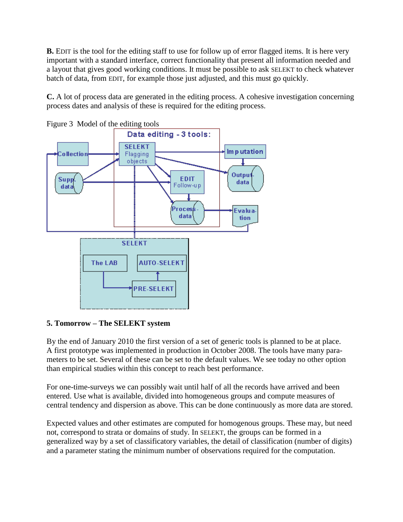**B.** EDIT is the tool for the editing staff to use for follow up of error flagged items. It is here very important with a standard interface, correct functionality that present all information needed and a layout that gives good working conditions. It must be possible to ask SELEKT to check whatever batch of data, from EDIT, for example those just adjusted, and this must go quickly.

**C.** A lot of process data are generated in the editing process. A cohesive investigation concerning process dates and analysis of these is required for the editing process.





## **5. Tomorrow – The SELEKT system**

By the end of January 2010 the first version of a set of generic tools is planned to be at place. A first prototype was implemented in production in October 2008. The tools have many parameters to be set. Several of these can be set to the default values. We see today no other option than empirical studies within this concept to reach best performance.

For one-time-surveys we can possibly wait until half of all the records have arrived and been entered. Use what is available, divided into homogeneous groups and compute measures of central tendency and dispersion as above. This can be done continuously as more data are stored.

Expected values and other estimates are computed for homogenous groups. These may, but need not, correspond to strata or domains of study. In SELEKT, the groups can be formed in a generalized way by a set of classificatory variables, the detail of classification (number of digits) and a parameter stating the minimum number of observations required for the computation.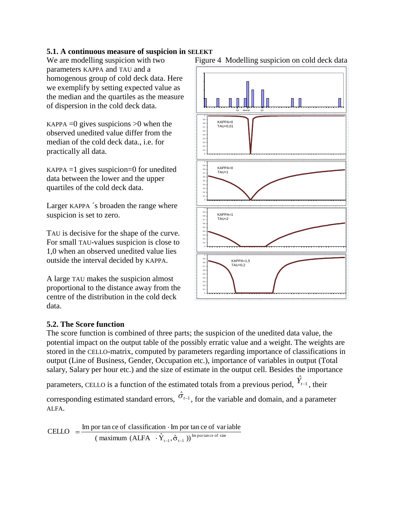# **5.1. A continuous measure of suspicion in SELEKT**<br>We are modelling suspicion with two Figure

parameters KAPPA and TAU and a homogenous group of cold deck data. Here we exemplify by setting expected value as the median and the quartiles as the measure of dispersion in the cold deck data.

KAPPA  $=0$  gives suspicions  $>0$  when the observed unedited value differ from the median of the cold deck data., i.e. for practically all data.

 $KAPPA = 1$  gives suspicion=0 for unedited data between the lower and the upper quartiles of the cold deck data.

Larger KAPPA ´s broaden the range where suspicion is set to zero.

TAU is decisive for the shape of the curve. For small TAU-values suspicion is close to 1,0 when an observed unedited value lies outside the interval decided by KAPPA.

A large TAU makes the suspicion almost proportional to the distance away from the centre of the distribution in the cold deck data.



## Figure 4 Modelling suspicion on cold deck data

#### **5.2. The Score function**

The score function is combined of three parts; the suspicion of the unedited data value, the potential impact on the output table of the possibly erratic value and a weight. The weights are stored in the CELLO-matrix, computed by parameters regarding importance of classifications in output (Line of Business, Gender, Occupation etc.), importance of variables in output (Total salary, Salary per hour etc.) and the size of estimate in the output cell. Besides the importance parameters, CELLO is a function of the estimated totals from a previous period,  $\hat{Y}_{t-1}$ , their corresponding estimated standard errors,  $\hat{\sigma}_{t-1}$ , for the variable and domain, and a parameter ALFA.

$$
CELLO = \frac{\text{Im por tan ce of classification} \cdot \text{Im por tan ce of variable}}{(\text{maximum (ALFA} \cdot \hat{Y}_{t-1}, \hat{\sigma}_{t-1}))^{\text{Im protrance of size}}}
$$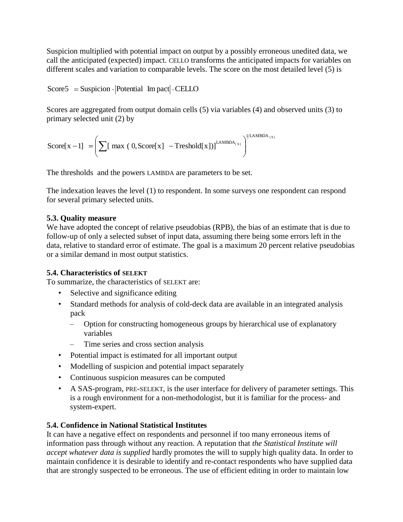Suspicion multiplied with potential impact on output by a possibly erroneous unedited data, we call the anticipated (expected) impact. CELLO transforms the anticipated impacts for variables on different scales and variation to comparable levels. The score on the most detailed level (5) is

 $Score5 = Suspicion \cdot |Potential \ Im\,pack| \cdot CELLO$ 

Scores are aggregated from output domain cells (5) via variables (4) and observed units (3) to primary selected unit (2) by

$$
Score[x-1] = \left(\sum [\max (0, Score[x] - Treshold[x])]^{\text{LAMBDA}_{[x]}}\right)^{\text{LAMBDA}_{[x]}}
$$

The thresholds and the powers LAMBDA are parameters to be set.

The indexation leaves the level (1) to respondent. In some surveys one respondent can respond for several primary selected units.

## **5.3. Quality measure**

We have adopted the concept of relative pseudobias (RPB), the bias of an estimate that is due to follow-up of only a selected subset of input data, assuming there being some errors left in the data, relative to standard error of estimate. The goal is a maximum 20 percent relative pseudobias or a similar demand in most output statistics.

# **5.4. Characteristics of SELEKT**

To summarize, the characteristics of SELEKT are:

- Selective and significance editing
- Standard methods for analysis of cold-deck data are available in an integrated analysis pack
	- Option for constructing homogeneous groups by hierarchical use of explanatory variables
	- Time series and cross section analysis
- Potential impact is estimated for all important output
- Modelling of suspicion and potential impact separately
- Continuous suspicion measures can be computed
- A SAS-program, PRE-SELEKT, is the user interface for delivery of parameter settings. This is a rough environment for a non-methodologist, but it is familiar for the process- and system-expert.

# **5.4. Confidence in National Statistical Institutes**

It can have a negative effect on respondents and personnel if too many erroneous items of information pass through without any reaction. A reputation that *the Statistical Institute will accept whatever data is supplied* hardly promotes the will to supply high quality data. In order to maintain confidence it is desirable to identify and re-contact respondents who have supplied data that are strongly suspected to be erroneous. The use of efficient editing in order to maintain low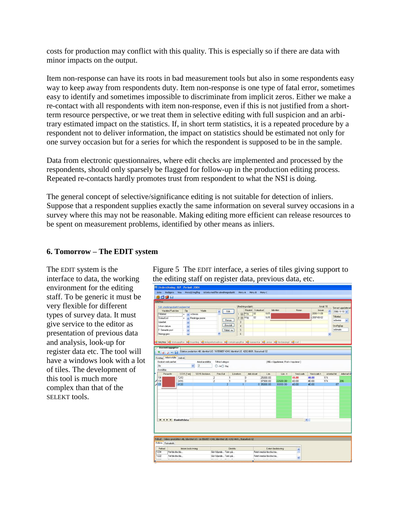costs for production may conflict with this quality. This is especially so if there are data with minor impacts on the output.

Item non-response can have its roots in bad measurement tools but also in some respondents easy way to keep away from respondents duty. Item non-response is one type of fatal error, sometimes easy to identify and sometimes impossible to discriminate from implicit zeros. Either we make a re-contact with all respondents with item non-response, even if this is not justified from a shortterm resource perspective, or we treat them in selective editing with full suspicion and an arbitrary estimated impact on the statistics. If, in short term statistics, it is a repeated procedure by a respondent not to deliver information, the impact on statistics should be estimated not only for one survey occasion but for a series for which the respondent is supposed to be in the sample.

Data from electronic questionnaires, where edit checks are implemented and processed by the respondents, should only sparsely be flagged for follow-up in the production editing process. Repeated re-contacts hardly promotes trust from respondent to what the NSI is doing.

The general concept of selective/significance editing is not suitable for detection of inliers. Suppose that a respondent supplies exactly the same information on several survey occasions in a survey where this may not be reasonable. Making editing more efficient can release resources to be spent on measurement problems, identified by other means as inliers.

## **6. Tomorrow – The EDIT system**

The EDIT system is the interface to data, the working environment for the editing staff. To be generic it must be very flexible for different types of survey data. It must give service to the editor as presentation of previous data and analysis, look-up for register data etc. The tool will have a windows look with a lot of tiles. The development of this tool is much more complex than that of the SELEKT tools.

Figure 5 The EDIT interface, a series of tiles giving support to the editing staff on register data, previous data, etc.